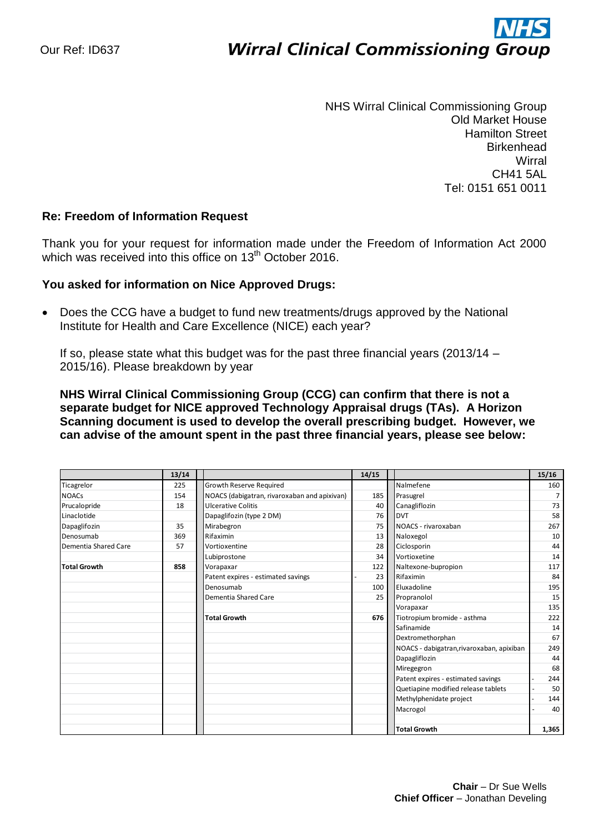# ì **Wirral Clinical Commissioning Group**

NHS Wirral Clinical Commissioning Group Old Market House Hamilton Street **Birkenhead Wirral** CH41 5AL Tel: 0151 651 0011

# **Re: Freedom of Information Request**

Thank you for your request for information made under the Freedom of Information Act 2000 which was received into this office on  $13<sup>th</sup>$  October 2016.

### **You asked for information on Nice Approved Drugs:**

• Does the CCG have a budget to fund new treatments/drugs approved by the National Institute for Health and Care Excellence (NICE) each year?

If so, please state what this budget was for the past three financial years (2013/14 – 2015/16). Please breakdown by year

**NHS Wirral Clinical Commissioning Group (CCG) can confirm that there is not a separate budget for NICE approved Technology Appraisal drugs (TAs). A Horizon Scanning document is used to develop the overall prescribing budget. However, we can advise of the amount spent in the past three financial years, please see below:**

|                      | 13/14 |                                              | 14/15 |                                           | 15/16          |
|----------------------|-------|----------------------------------------------|-------|-------------------------------------------|----------------|
| Ticagrelor           | 225   | Growth Reserve Required                      |       | Nalmefene                                 | 160            |
| <b>NOACs</b>         | 154   | NOACS (dabigatran, rivaroxaban and apixivan) | 185   | Prasugrel                                 | $\overline{7}$ |
| Prucalopride         | 18    | <b>Ulcerative Colitis</b>                    | 40    | Canagliflozin                             | 73             |
| Linaclotide          |       | Dapaglifozin (type 2 DM)                     | 76    | <b>DVT</b>                                | 58             |
| Dapaglifozin         | 35    | Mirabegron                                   | 75    | NOACS - rivaroxaban                       | 267            |
| Denosumab            | 369   | Rifaximin                                    | 13    | Naloxegol                                 | 10             |
| Dementia Shared Care | 57    | Vortioxentine                                | 28    | Ciclosporin                               | 44             |
|                      |       | Lubiprostone                                 | 34    | Vortioxetine                              | 14             |
| <b>Total Growth</b>  | 858   | Vorapaxar                                    | 122   | Naltexone-bupropion                       | 117            |
|                      |       | Patent expires - estimated savings           | 23    | Rifaximin                                 | 84             |
|                      |       | Denosumab                                    | 100   | Eluxadoline                               | 195            |
|                      |       | <b>Dementia Shared Care</b>                  | 25    | Propranolol                               | 15             |
|                      |       |                                              |       | Vorapaxar                                 | 135            |
|                      |       | <b>Total Growth</b>                          | 676   | Tiotropium bromide - asthma               | 222            |
|                      |       |                                              |       | Safinamide                                | 14             |
|                      |       |                                              |       | Dextromethorphan                          | 67             |
|                      |       |                                              |       | NOACS - dabigatran, rivaroxaban, apixiban | 249            |
|                      |       |                                              |       | Dapagliflozin                             | 44             |
|                      |       |                                              |       | Miregegron                                | 68             |
|                      |       |                                              |       | Patent expires - estimated savings        | 244            |
|                      |       |                                              |       | Quetiapine modified release tablets       | 50             |
|                      |       |                                              |       | Methylphenidate project                   | 144            |
|                      |       |                                              |       | Macrogol                                  | 40             |
|                      |       |                                              |       |                                           |                |
|                      |       |                                              |       | <b>Total Growth</b>                       | 1,365          |